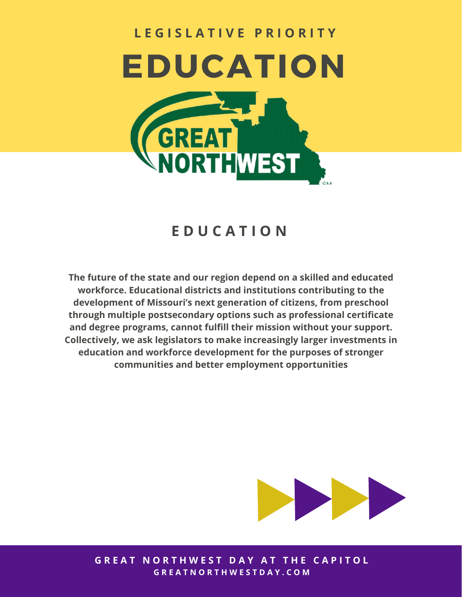# **L E G I S L A T I V E P R I O R I T Y EDUCATION RTHWEST**

## **E D U C A T I O N**

**The future of the state and our region depend on a skilled and educated workforce. Educational districts and institutions contributing to the development of Missouri's next generation of citizens, from preschool through multiple postsecondary options such as professional certificate and degree programs, cannot fulfill their mission without your support. Collectively, we ask legislators to make increasingly larger investments in education and workforce development for the purposes of stronger communities and better employment opportunities**



**GREAT NORTHWEST DAY AT THE CAPITOL G R E A T N O R T H W E S T D A Y . C O M**